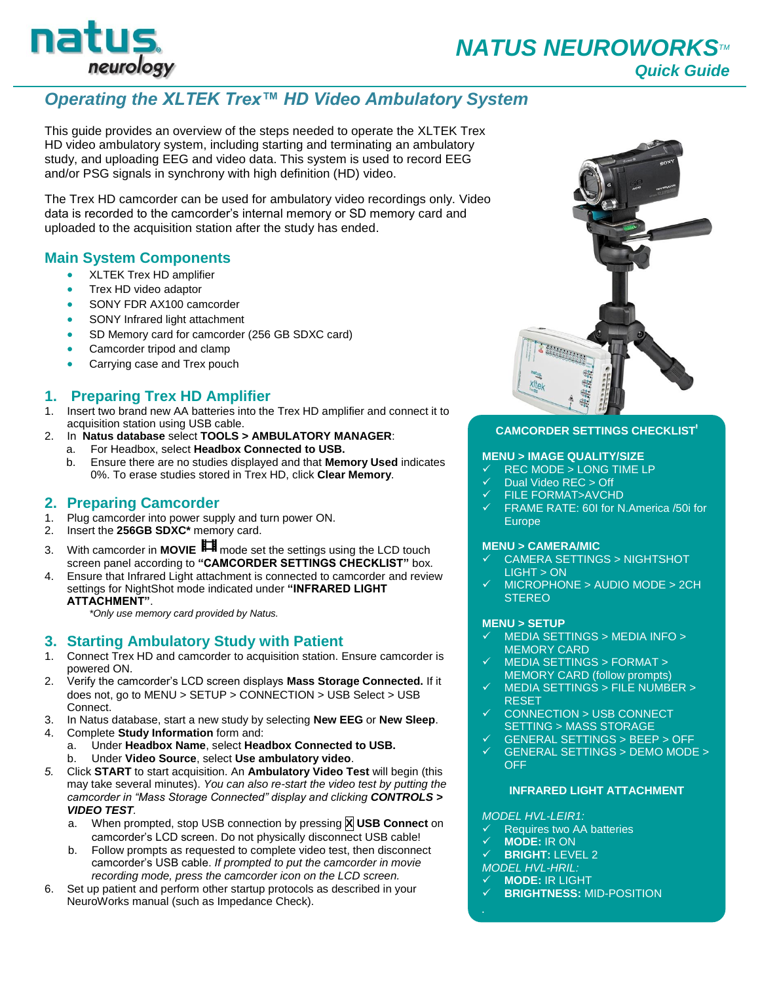

# *Operating the XLTEK Trex™ HD Video Ambulatory System*

This guide provides an overview of the steps needed to operate the XLTEK Trex HD video ambulatory system, including starting and terminating an ambulatory study, and uploading EEG and video data. This system is used to record EEG and/or PSG signals in synchrony with high definition (HD) video.

The Trex HD camcorder can be used for ambulatory video recordings only. Video data is recorded to the camcorder's internal memory or SD memory card and uploaded to the acquisition station after the study has ended.

# **Main System Components**

- **KLTEK Trex HD amplifier**
- Trex HD video adaptor
- SONY FDR AX100 camcorder
- SONY Infrared light attachment
- SD Memory card for camcorder (256 GB SDXC card)
- Camcorder tripod and clamp
- Carrying case and Trex pouch

# **1. Preparing Trex HD Amplifier**

- 1. Insert two brand new AA batteries into the Trex HD amplifier and connect it to acquisition station using USB cable.
- 2. In **Natus database** select **TOOLS > AMBULATORY MANAGER**:
	- a. For Headbox, select **Headbox Connected to USB.**
	- b. Ensure there are no studies displayed and that **Memory Used** indicates 0%. To erase studies stored in Trex HD, click **Clear Memory**.

### **2. Preparing Camcorder**

- 1. Plug camcorder into power supply and turn power ON.<br>2. Insert the 256GB SDXC\* memory card.
- 2. Insert the **256GB SDXC\*** memory card.
- 3. With camcorder in **MOVIE** mode set the settings using the LCD touch screen panel according to **"CAMCORDER SETTINGS CHECKLIST"** box.
- 4. Ensure that Infrared Light attachment is connected to camcorder and review settings for NightShot mode indicated under **"INFRARED LIGHT ATTACHMENT"**.

*\*Only use memory card provided by Natus.*

# **3. Starting Ambulatory Study with Patient**

- 1. Connect Trex HD and camcorder to acquisition station. Ensure camcorder is powered ON.
- 2. Verify the camcorder's LCD screen displays **Mass Storage Connected.** If it does not, go to MENU > SETUP > CONNECTION > USB Select > USB Connect.
- 3. In Natus database, start a new study by selecting **New EEG** or **New Sleep**.
- 4. Complete **Study Information** form and:
	- a. Under **Headbox Name**, select **Headbox Connected to USB.** b. Under **Video Source**, select **Use ambulatory video**.
- *5.* Click **START** to start acquisition. An **Ambulatory Video Test** will begin (this may take several minutes). *You can also re-start the video test by putting the camcorder in "Mass Storage Connected" display and clicking CONTROLS > VIDEO TEST.* 
	- a. When prompted, stop USB connection by pressing **X USB Connect** on camcorder's LCD screen. Do not physically disconnect USB cable!
	- b. Follow prompts as requested to complete video test, then disconnect camcorder's USB cable. *If prompted to put the camcorder in movie recording mode, press the camcorder icon on the LCD screen.*
- 6. Set up patient and perform other startup protocols as described in your NeuroWorks manual (such as Impedance Check).



### **CAMCORDER SETTINGS CHECKLIST<sup>Ɨ</sup>**

### **MENU > IMAGE QUALITY/SIZE**

- REC MODE > LONG TIME LP
- Dual Video REC > Off
- FILE FORMAT>AVCHD
- FRAME RATE: 60I for N.America /50i for Europe

#### **MENU > CAMERA/MIC**

- CAMERA SETTINGS > NIGHTSHOT LIGHT > ON
- MICROPHONE > AUDIO MODE > 2CH **STEREO**

#### **MENU > SETUP**

- MEDIA SETTINGS > MEDIA INFO > MEMORY CARD
- MEDIA SETTINGS > FORMAT > MEMORY CARD (follow prompts)
- MEDIA SETTINGS > FILE NUMBER > RESET
- CONNECTION > USB CONNECT SETTING > MASS STORAGE
- GENERAL SETTINGS > BEEP > OFF
- GENERAL SETTINGS > DEMO MODE > **OFF**

### **INFRARED LIGHT ATTACHMENT**

#### *MODEL HVL-LEIR1:*

- Requires two AA batteries
- **MODE:** IR ON
- **BRIGHT:** LEVEL 2
- *MODEL HVL-HRIL:*
- **MODE:** IR LIGHT

**Ɨ**

**BRIGHTNESS:** MID-POSITION

*Set with camcorder in MOVIE mode.*